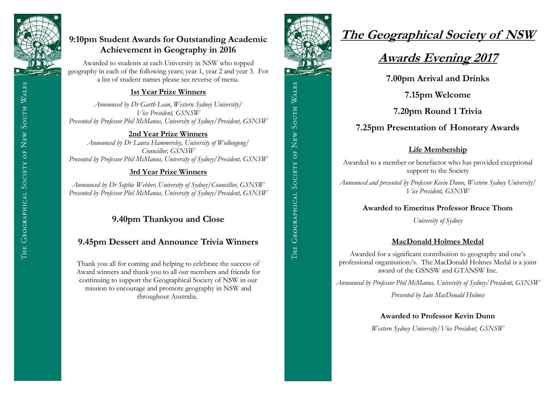

# **9:10pm Student Awards for Outstanding Academic Achievement in Geography in 2016**

Awarded to students at each University in NSW who topped geography in each of the following years; year 1, year 2 and year 3. For a list of student names please see reverse of menu.

## **1st Year Prize Winners**

*Announced by Dr Garth Lean, Western Sydney University/ Vice President, GSNSW Presented by Professor Phil McManus, University of Sydney/President, GSNSW*

### **2nd Year Prize Winners**

*Announced by Dr Laura Hammersley, University of Wollongong/ Councillor, GSNSW Presented by Professor Phil McManus, University of Sydney/President, GSNSW*

## **3rd Year Prize Winners**

*Announced by Dr Sophie Webber, University of Sydney/Councillor, GSNSW Presented by Professor Phil McManus, University of Sydney/President, GSNSW*

# **9.40pm Thankyou and Close**

# **9.45pm Dessert and Announce Trivia Winners**

Thank you all for coming and helping to celebrate the success of Award winners and thank you to all our members and friends for continuing to support the Geographical Society of NSW in our mission to encourage and promote geography in NSW and throughout Australia.



# **The Geographical Society of NSW**

# **Awards Evening 2017**

**7.00pm Arrival and Drinks**

**7.15pm Welcome** 

**7.20pm Round 1 Trivia**

# **7.25pm Presentation of Honorary Awards**

## **Life Membership**

Awarded to a member or benefactor who has provided exceptional support to the Society

*Announced and presented by Professor Kevin Dunn, Western Sydney University/ Vice President, GSNSW* 

### **Awarded to Emeritus Professor Bruce Thom**

*University of Sydney*

## **MacDonald Holmes Medal**

Awarded for a significant contribution to geography and one's professional organisation/s. The MacDonald Holmes Medal is a joint award of the GSNSW and GTANSW Inc.

*Announced by Professor Phil McManus, University of Sydney/President, GSNSW*

*Presented by Iain MacDonald Holmes*

#### **Awarded to Professor Kevin Dunn**

*Western Sydney University/Vice President, GSNSW*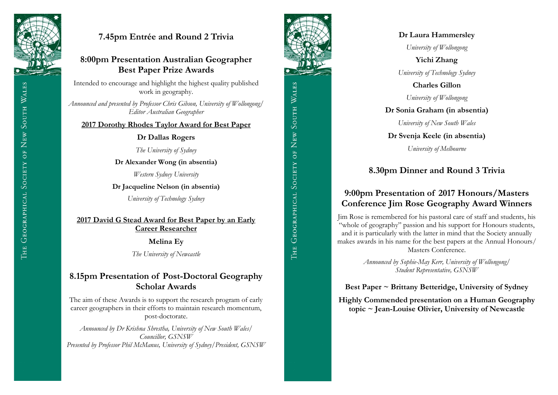

# **7.45pm Entrée and Round 2 Trivia**

## **8:00pm Presentation Australian Geographer Best Paper Prize Awards**

Intended to encourage and highlight the highest quality published work in geography.

*Announced and presented by Professor Chris Gibson, University of Wollongong/ Editor Australian Geographer*

#### **2017 Dorothy Rhodes Taylor Award for Best Paper**

#### **Dr Dallas Rogers**

*The University of Sydney*

**Dr Alexander Wong (in absentia)** 

*Western Sydney University*

**Dr Jacqueline Nelson (in absentia)** 

*University of Technology Sydney*

### **2017 David G Stead Award for Best Paper by an Early Career Researcher**

**Melina Ey** 

*The University of Newcastle*

## **8.15pm Presentation of Post-Doctoral Geography Scholar Awards**

The aim of these Awards is to support the research program of early career geographers in their efforts to maintain research momentum, post-doctorate.

*Announced by Dr Krishna Shrestha, University of New South Wales/ Councillor, GSNSW Presented by Professor Phil McManus, University of Sydney/President, GSNSW* 





#### **Dr Laura Hammersley**

*University of Wollongong* 

**Yichi Zhang**  *University of Technology Sydney*

**Charles Gillon**

*University of Wollongong*

#### **Dr Sonia Graham (in absentia)**

*University of New South Wales* 

#### **Dr Svenja Keele (in absentia)**

*University of Melbourne*

## **8.30pm Dinner and Round 3 Trivia**

## **9:00pm Presentation of 2017 Honours/Masters Conference Jim Rose Geography Award Winners**

Jim Rose is remembered for his pastoral care of staff and students, his "whole of geography" passion and his support for Honours students, and it is particularly with the latter in mind that the Society annually makes awards in his name for the best papers at the Annual Honours/ Masters Conference.

> *Announced by Sophie-May Kerr, University of Wollongong/ Student Representative, GSNSW*

**Best Paper ~ Brittany Betteridge, University of Sydney**

**Highly Commended presentation on a Human Geography topic ~ Jean-Louise Olivier, University of Newcastle**